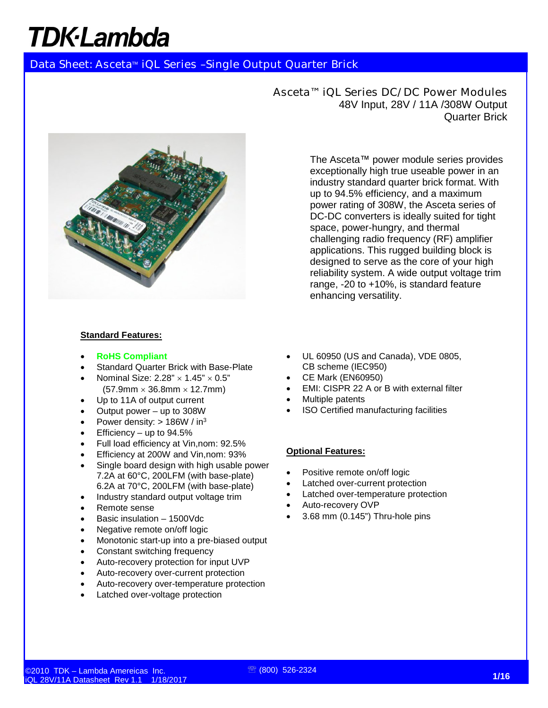#### Data Sheet: Asceta<sup>™</sup> iQL Series -Single Output Quarter Brick



#### **Standard Features:**

- **RoHS Compliant**
- Standard Quarter Brick with Base-Plate
- Nominal Size:  $2.28" \times 1.45" \times 0.5"$  $(57.9$ mm  $\times$  36.8mm  $\times$  12.7mm)
- Up to 11A of output current
- Output power up to 308W
- Power density:  $> 186W / in<sup>3</sup>$
- Efficiency up to 94.5%
- Full load efficiency at Vin,nom: 92.5%
- Efficiency at 200W and Vin,nom: 93%
- Single board design with high usable power 7.2A at 60°C, 200LFM (with base-plate) 6.2A at 70°C, 200LFM (with base-plate)
- Industry standard output voltage trim
- Remote sense
- Basic insulation 1500Vdc
- Negative remote on/off logic
- Monotonic start-up into a pre-biased output
- Constant switching frequency
- Auto-recovery protection for input UVP
- Auto-recovery over-current protection
- Auto-recovery over-temperature protection
- Latched over-voltage protection

Asceta™ iQL Series DC/DC Power Modules 48V Input, 28V / 11A /308W Output Quarter Brick

> The Asceta™ power module series provides exceptionally high true useable power in an industry standard quarter brick format. With up to 94.5% efficiency, and a maximum power rating of 308W, the Asceta series of DC-DC converters is ideally suited for tight space, power-hungry, and thermal challenging radio frequency (RF) amplifier applications. This rugged building block is designed to serve as the core of your high reliability system. A wide output voltage trim range, -20 to +10%, is standard feature enhancing versatility.

- UL 60950 (US and Canada), VDE 0805, CB scheme (IEC950)
- CE Mark (EN60950)
- EMI: CISPR 22 A or B with external filter
- Multiple patents
- ISO Certified manufacturing facilities

#### **Optional Features:**

- Positive remote on/off logic
- Latched over-current protection
- Latched over-temperature protection
- Auto-recovery OVP
- 3.68 mm (0.145") Thru-hole pins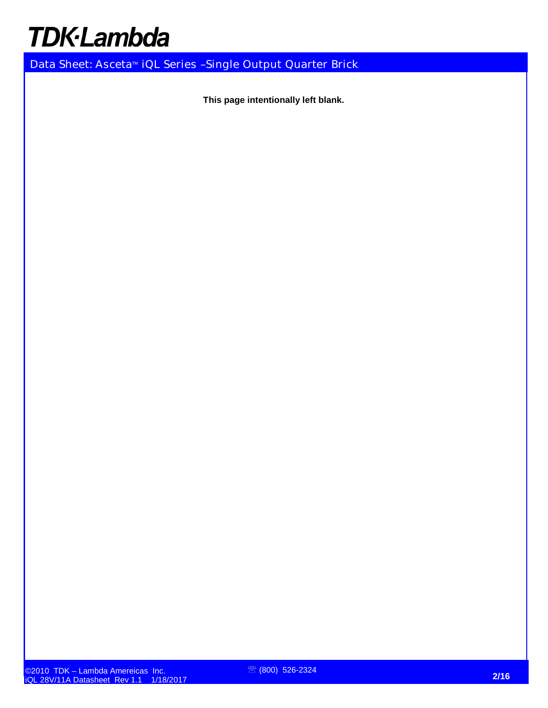Data Sheet: Asceta<sup>™</sup> iQL Series -Single Output Quarter Brick

**This page intentionally left blank.**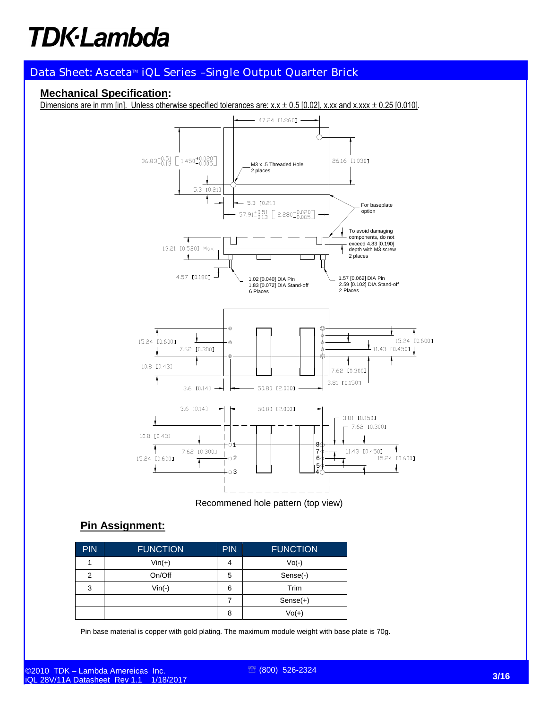### Data Sheet: Asceta<sup>™</sup> iQL Series -Single Output Quarter Brick

#### **Mechanical Specification:**

Dimensions are in mm [in]. Unless otherwise specified tolerances are:  $x.x \pm 0.5$  [0.02], x.xx and x.xxx  $\pm$  0.25 [0.010].



Recommened hole pattern (top view)

#### **Pin Assignment:**

| <b>PIN</b> | <b>FUNCTION</b> | <b>PIN</b> | <b>FUNCTION</b> |
|------------|-----------------|------------|-----------------|
|            | $Vin(+)$        | 4          | $Vo(-)$         |
| 2          | On/Off          | 5          | Sense(-)        |
| 3          | $Vin(-)$        | 6          | Trim            |
|            |                 |            | $Sense(+)$      |
|            |                 | 8          | $Vo(+)$         |

Pin base material is copper with gold plating. The maximum module weight with base plate is 70g.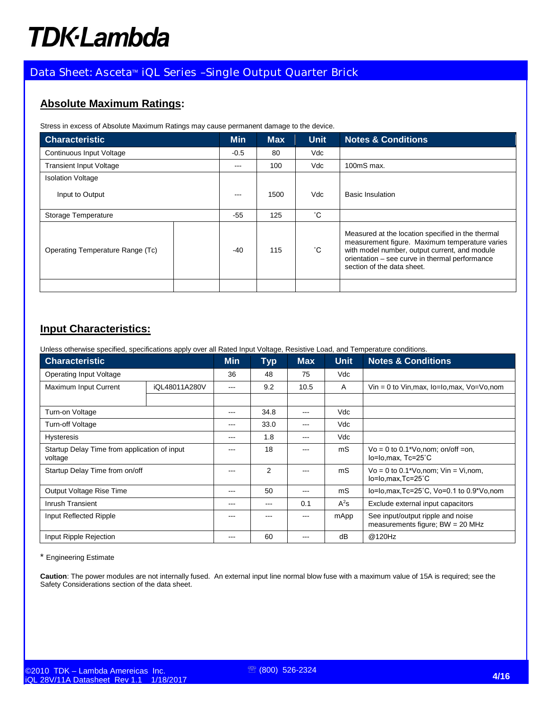### Data Sheet: Asceta<sup>™</sup> iQL Series -Single Output Quarter Brick

### **Absolute Maximum Ratings:**

Stress in excess of Absolute Maximum Ratings may cause permanent damage to the device.

| <b>Characteristic</b>            | <b>Min</b> | <b>Max</b> | <b>Unit</b> | <b>Notes &amp; Conditions</b>                                                                                                                                                                                                        |
|----------------------------------|------------|------------|-------------|--------------------------------------------------------------------------------------------------------------------------------------------------------------------------------------------------------------------------------------|
| Continuous Input Voltage         | $-0.5$     | 80         | Vdc         |                                                                                                                                                                                                                                      |
| <b>Transient Input Voltage</b>   | ---        | 100        | Vdc         | $100 \text{mS}$ max.                                                                                                                                                                                                                 |
| <b>Isolation Voltage</b>         |            |            |             |                                                                                                                                                                                                                                      |
| Input to Output                  |            | 1500       | Vdc         | <b>Basic Insulation</b>                                                                                                                                                                                                              |
| Storage Temperature              | $-55$      | 125        | °С          |                                                                                                                                                                                                                                      |
| Operating Temperature Range (Tc) | $-40$      | 115        | °С          | Measured at the location specified in the thermal<br>measurement figure. Maximum temperature varies<br>with model number, output current, and module<br>orientation - see curve in thermal performance<br>section of the data sheet. |
|                                  |            |            |             |                                                                                                                                                                                                                                      |

### **Input Characteristics:**

Unless otherwise specified, specifications apply over all Rated Input Voltage, Resistive Load, and Temperature conditions.

| <b>Characteristic</b>                                   | <b>Min</b>    | <b>Typ</b> | <b>Max</b> | <b>Unit</b> | <b>Notes &amp; Conditions</b> |                                                                         |  |
|---------------------------------------------------------|---------------|------------|------------|-------------|-------------------------------|-------------------------------------------------------------------------|--|
| Operating Input Voltage                                 |               | 36         | 48         | 75          | Vdc                           |                                                                         |  |
| Maximum Input Current                                   | iQL48011A280V | ---        | 9.2        | 10.5        | A                             | $V$ in = 0 to $V$ in, max, $Io=Io$ , max, $Vo=Vo$ , nom                 |  |
|                                                         |               |            |            |             |                               |                                                                         |  |
| Turn-on Voltage                                         |               | ---        | 34.8       | ---         | Vdc                           |                                                                         |  |
| Turn-off Voltage                                        | ---           | 33.0       | $---$      | Vdc         |                               |                                                                         |  |
| <b>Hysteresis</b>                                       | ---           | 1.8        | ---        | Vdc         |                               |                                                                         |  |
| Startup Delay Time from application of input<br>voltage |               | ---        | 18         | $---$       | mS                            | $Vo = 0$ to 0.1*Vo, nom; on/off = on,<br>lo=lo,max, Tc=25°C             |  |
| Startup Delay Time from on/off                          |               | ---        | 2          |             | mS                            | $Vo = 0$ to 0.1*Vo, nom; $ Vin = Vi$ , nom,<br>$Io = Io.max.Tc = 25°C$  |  |
| Output Voltage Rise Time                                |               | ---        | 50         | ---         | mS                            | $lo = Io$ , max, Tc=25°C, Vo=0.1 to 0.9*Vo, nom                         |  |
| Inrush Transient                                        |               | ---        |            | 0.1         | $A^2s$                        | Exclude external input capacitors                                       |  |
| Input Reflected Ripple                                  |               | ---        |            |             | mApp                          | See input/output ripple and noise<br>measurements figure; $BW = 20 MHz$ |  |
| Input Ripple Rejection                                  |               | ---        | 60         | ---         | dB                            | @120Hz                                                                  |  |

\* Engineering Estimate

**Caution**: The power modules are not internally fused. An external input line normal blow fuse with a maximum value of 15A is required; see the Safety Considerations section of the data sheet.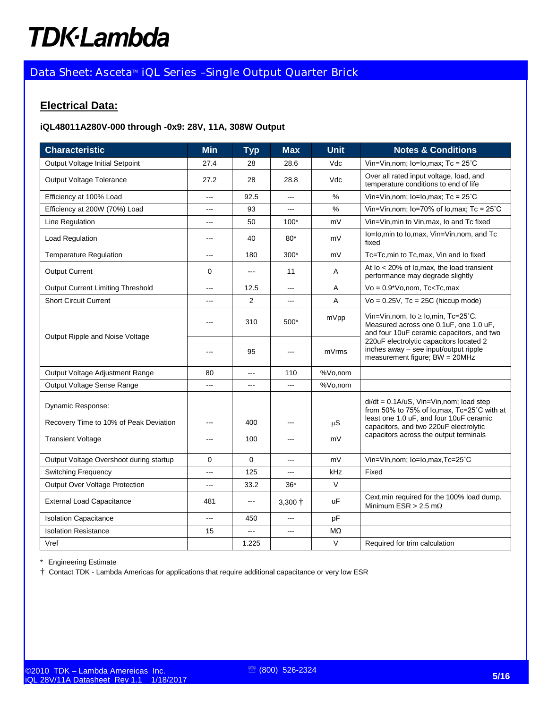# **TDK**-Lambda

### Data Sheet: Asceta<sup>™</sup> iQL Series -Single Output Quarter Brick

### **Electrical Data:**

#### **iQL48011A280V-000 through -0x9: 28V, 11A, 308W Output**

| <b>Characteristic</b>                    | <b>Min</b>               | <b>Typ</b> | <b>Max</b>               | <b>Unit</b> | <b>Notes &amp; Conditions</b>                                                                                                         |  |
|------------------------------------------|--------------------------|------------|--------------------------|-------------|---------------------------------------------------------------------------------------------------------------------------------------|--|
| Output Voltage Initial Setpoint          | 27.4                     | 28         | 28.6                     | Vdc         | Vin=Vin, nom; $lo=Io$ , max; Tc = $25^{\circ}$ C                                                                                      |  |
| Output Voltage Tolerance                 | 27.2                     | 28         | 28.8                     | Vdc         | Over all rated input voltage, load, and<br>temperature conditions to end of life                                                      |  |
| Efficiency at 100% Load                  | $\overline{a}$           | 92.5       | $\overline{\phantom{a}}$ | $\%$        | Vin=Vin,nom; lo=lo,max; Tc = 25°C                                                                                                     |  |
| Efficiency at 200W (70%) Load            | ---                      | 93         | ---                      | $\%$        | Vin=Vin,nom; lo=70% of lo,max; Tc = 25°C                                                                                              |  |
| Line Regulation                          | $---$                    | 50         | $100*$                   | mV          | Vin=Vin, min to Vin, max, Io and Tc fixed                                                                                             |  |
| Load Regulation                          | ---                      | 40         | $80*$                    | mV          | lo=lo, min to lo, max, Vin=Vin, nom, and Tc<br>fixed                                                                                  |  |
| <b>Temperature Regulation</b>            | $---$                    | 180        | 300*                     | mV          | Tc=Tc,min to Tc,max, Vin and Io fixed                                                                                                 |  |
| <b>Output Current</b>                    | 0                        | ---        | 11                       | Α           | At lo < 20% of lo, max, the load transient<br>performance may degrade slightly                                                        |  |
| <b>Output Current Limiting Threshold</b> | $-$                      | 12.5       | $-$ - $-$                | A           | $Vo = 0.9*Vo$ , nom, Tc <tc, max<="" td=""></tc,>                                                                                     |  |
| <b>Short Circuit Current</b>             | ---                      | 2          | ---                      | A           | $Vo = 0.25V$ , Tc = 25C (hiccup mode)                                                                                                 |  |
| Output Ripple and Noise Voltage          |                          | 310        | 500*                     | mVpp        | Vin=Vin, nom, $I_0 \geq I_0$ , min, Tc=25°C.<br>Measured across one 0.1uF, one 1.0 uF,<br>and four 10uF ceramic capacitors, and two   |  |
|                                          | ---                      | 95         | ---                      | mVrms       | 220uF electrolytic capacitors located 2<br>inches away - see input/output ripple<br>measurement figure; BW = 20MHz                    |  |
| Output Voltage Adjustment Range          | 80                       | ---        | 110                      | %Vo,nom     |                                                                                                                                       |  |
| Output Voltage Sense Range               | $\overline{a}$           | ---        |                          | %Vo,nom     |                                                                                                                                       |  |
| Dynamic Response:                        | ---                      |            | ---                      |             | $di/dt = 0.1A/uS$ , Vin=Vin, nom; load step<br>from 50% to 75% of lo, max, Tc=25°C with at<br>least one 1.0 uF, and four 10uF ceramic |  |
| Recovery Time to 10% of Peak Deviation   |                          | 400        |                          | $\mu S$     | capacitors, and two 220uF electrolytic<br>capacitors across the output terminals                                                      |  |
| <b>Transient Voltage</b>                 | $---$                    | 100        | $---$                    | mV          |                                                                                                                                       |  |
| Output Voltage Overshoot during startup  | 0                        | $\Omega$   | ---                      | mV          | Vin=Vin,nom; lo=lo,max,Tc=25°C                                                                                                        |  |
| <b>Switching Frequency</b>               | $---$                    | 125        | $\overline{a}$           | kHz         | Fixed                                                                                                                                 |  |
| Output Over Voltage Protection           | $\overline{\phantom{a}}$ | 33.2       | $36*$                    | V           |                                                                                                                                       |  |
| <b>External Load Capacitance</b>         | 481                      | ---        | $3,300 \dagger$          | uF          | Cext, min required for the 100% load dump.<br>Minimum ESR > 2.5 m $\Omega$                                                            |  |
| <b>Isolation Capacitance</b>             | ---                      | 450        |                          | pF          |                                                                                                                                       |  |
| <b>Isolation Resistance</b>              | 15                       | ---        | ---                      | MΩ          |                                                                                                                                       |  |
| Vref                                     |                          | 1.225      |                          | V           | Required for trim calculation                                                                                                         |  |

\* Engineering Estimate

† Contact TDK - Lambda Americas for applications that require additional capacitance or very low ESR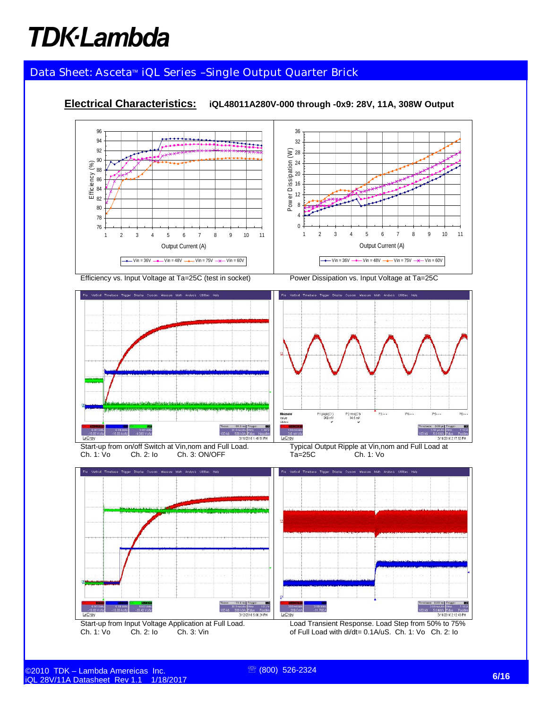### Data Sheet: Asceta<sup>™</sup> iQL Series -Single Output Quarter Brick



#### **Electrical Characteristics: iQL48011A280V-000 through -0x9: 28V, 11A, 308W Output**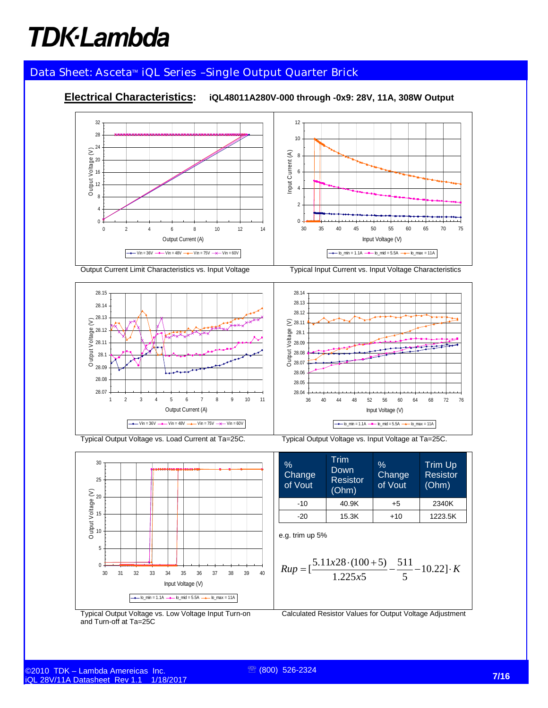### Data Sheet: Asceta<sup>™</sup> iQL Series -Single Output Quarter Brick

#### 32 12 28 10  $\widehat{\ge}$ <sup>24</sup>  $\sum_{\text{geq 2}}$  and  $\sum_{\text{geq 1}}$ nput Current (A) Input Current (A) 8 20 6 16 12 4 O8  $\overline{2}$ 4  $\Omega$ 0 30 35 40 45 50 55 60 65 70 75 0 2 4 6 8 10 12 14 Output Current (A) Input Voltage (V)  $\boxed{\rightarrow}$  Io\_min = 1.1A  $\rightarrow$  Io\_mid = 5.5A  $\rightarrow$  Io\_max = 11A  $\rightarrow$  Vin = 36V  $\rightarrow$  Vin = 48V  $\rightarrow$  Vin = 75V  $\rightarrow$  Vin = 60V

**Electrical Characteristics: iQL48011A280V-000 through -0x9: 28V, 11A, 308W Output** 

Output Current Limit Characteristics vs. Input Voltage Typical Input Current vs. Input Voltage Characteristics





Typical Output Voltage vs. Load Current at Ta=25C. Typical Output Voltage vs. Input Voltage at Ta=25C.

 $\Omega$ 5 10 15 20 25 30 30 31 32 33 34 35 36 37 38 39 40 Input Voltage (V) Output Voltage (V)  $\rightarrow$  Io\_min = 1.1A  $\rightarrow$  Io\_mid = 5.5A  $\rightarrow$  Io\_max = 11A

| ℅<br>Change<br>of Vout | Trim<br>Down<br><b>Resistor</b><br>(Ohm) | $\%$<br>Change<br>of Vout | Trim Up<br><b>Resistor</b><br>(Ohm) |
|------------------------|------------------------------------------|---------------------------|-------------------------------------|
| $-10$                  | 40.9K                                    | $+5$                      | 2340K                               |
| $-20$                  | 15.3K                                    | $+10$                     | 1223.5K                             |

e.g. trim up 5%

$$
Rup = \left[\frac{5.11x28 \cdot (100+5)}{1.225x5} - \frac{511}{5} - 10.22\right] \cdot K
$$

Typical Output Voltage vs. Low Voltage Input Turn-on and Turn-off at Ta=25C

Calculated Resistor Values for Output Voltage Adjustment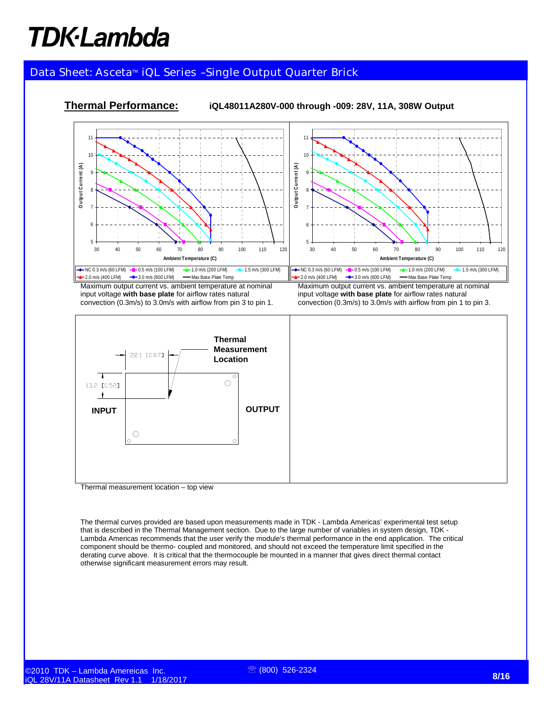### Data Sheet: Asceta<sup>™</sup> iQL Series -Single Output Quarter Brick



**Thermal Performance: iQL48011A280V-000 through -009: 28V, 11A, 308W Output** 

Thermal measurement location – top view

The thermal curves provided are based upon measurements made in TDK - Lambda Americas' experimental test setup that is described in the Thermal Management section. Due to the large number of variables in system design, TDK - Lambda Americas recommends that the user verify the module's thermal performance in the end application. The critical component should be thermo- coupled and monitored, and should not exceed the temperature limit specified in the derating curve above. It is critical that the thermocouple be mounted in a manner that gives direct thermal contact otherwise significant measurement errors may result.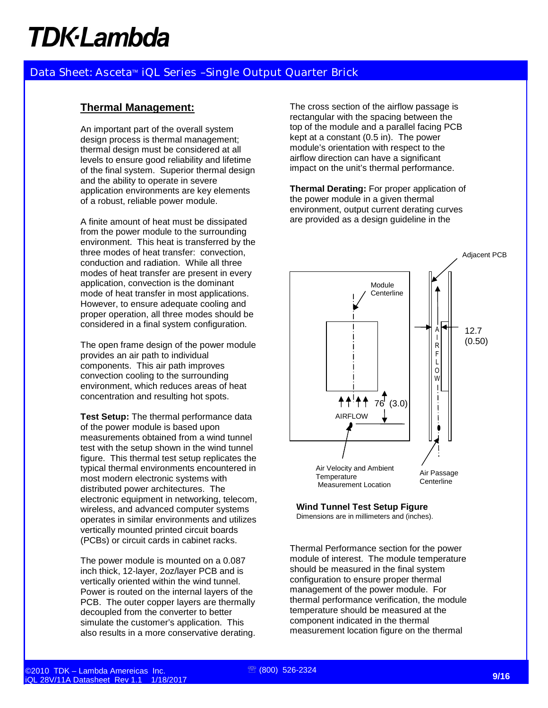#### Data Sheet: Asceta™ iQL Series –Single Output Quarter Brick

#### **Thermal Management:**

An important part of the overall system design process is thermal management; thermal design must be considered at all levels to ensure good reliability and lifetime of the final system. Superior thermal design and the ability to operate in severe application environments are key elements of a robust, reliable power module.

A finite amount of heat must be dissipated from the power module to the surrounding environment. This heat is transferred by the three modes of heat transfer: convection, conduction and radiation. While all three modes of heat transfer are present in every application, convection is the dominant mode of heat transfer in most applications. However, to ensure adequate cooling and proper operation, all three modes should be considered in a final system configuration.

The open frame design of the power module provides an air path to individual components. This air path improves convection cooling to the surrounding environment, which reduces areas of heat concentration and resulting hot spots.

**Test Setup:** The thermal performance data of the power module is based upon measurements obtained from a wind tunnel test with the setup shown in the wind tunnel figure. This thermal test setup replicates the typical thermal environments encountered in most modern electronic systems with distributed power architectures. The electronic equipment in networking, telecom, wireless, and advanced computer systems operates in similar environments and utilizes vertically mounted printed circuit boards (PCBs) or circuit cards in cabinet racks.

The power module is mounted on a 0.087 inch thick, 12-layer, 2oz/layer PCB and is vertically oriented within the wind tunnel. Power is routed on the internal layers of the PCB. The outer copper layers are thermally decoupled from the converter to better simulate the customer's application. This also results in a more conservative derating.

The cross section of the airflow passage is rectangular with the spacing between the top of the module and a parallel facing PCB kept at a constant (0.5 in). The power module's orientation with respect to the airflow direction can have a significant impact on the unit's thermal performance.

**Thermal Derating:** For proper application of the power module in a given thermal environment, output current derating curves are provided as a design guideline in the



### **Wind Tunnel Test Setup Figure**

Dimensions are in millimeters and (inches).

Thermal Performance section for the power module of interest. The module temperature should be measured in the final system configuration to ensure proper thermal management of the power module. For thermal performance verification, the module temperature should be measured at the component indicated in the thermal measurement location figure on the thermal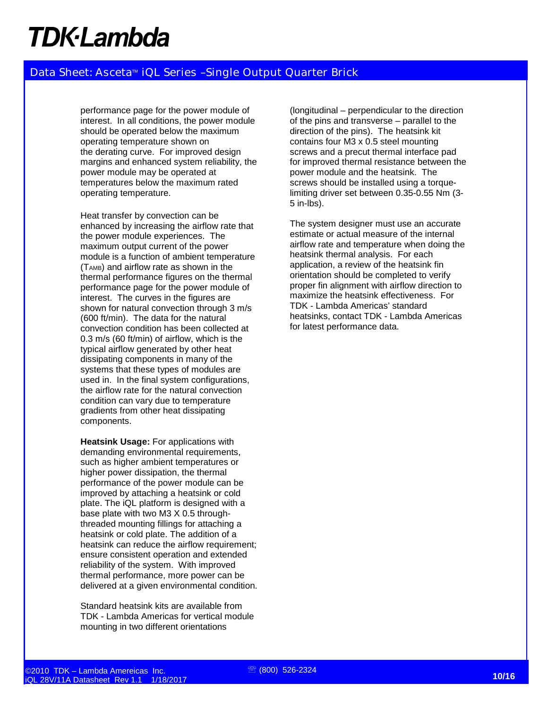#### Data Sheet: Asceta<sup>™</sup> iQL Series -Single Output Quarter Brick

performance page for the power module of interest. In all conditions, the power module should be operated below the maximum operating temperature shown on the derating curve. For improved design margins and enhanced system reliability, the power module may be operated at temperatures below the maximum rated operating temperature.

Heat transfer by convection can be enhanced by increasing the airflow rate that the power module experiences. The maximum output current of the power module is a function of ambient temperature  $(T<sub>AMB</sub>)$  and airflow rate as shown in the thermal performance figures on the thermal performance page for the power module of interest. The curves in the figures are shown for natural convection through 3 m/s (600 ft/min). The data for the natural convection condition has been collected at 0.3 m/s (60 ft/min) of airflow, which is the typical airflow generated by other heat dissipating components in many of the systems that these types of modules are used in. In the final system configurations, the airflow rate for the natural convection condition can vary due to temperature gradients from other heat dissipating components.

**Heatsink Usage:** For applications with demanding environmental requirements, such as higher ambient temperatures or higher power dissipation, the thermal performance of the power module can be improved by attaching a heatsink or cold plate. The iQL platform is designed with a base plate with two M3 X 0.5 throughthreaded mounting fillings for attaching a heatsink or cold plate. The addition of a heatsink can reduce the airflow requirement; ensure consistent operation and extended reliability of the system. With improved thermal performance, more power can be delivered at a given environmental condition.

Standard heatsink kits are available from TDK - Lambda Americas for vertical module mounting in two different orientations

(longitudinal – perpendicular to the direction of the pins and transverse – parallel to the direction of the pins). The heatsink kit contains four M3 x 0.5 steel mounting screws and a precut thermal interface pad for improved thermal resistance between the power module and the heatsink. The screws should be installed using a torquelimiting driver set between 0.35-0.55 Nm (3- 5 in-lbs).

The system designer must use an accurate estimate or actual measure of the internal airflow rate and temperature when doing the heatsink thermal analysis. For each application, a review of the heatsink fin orientation should be completed to verify proper fin alignment with airflow direction to maximize the heatsink effectiveness. For TDK - Lambda Americas' standard heatsinks, contact TDK - Lambda Americas for latest performance data.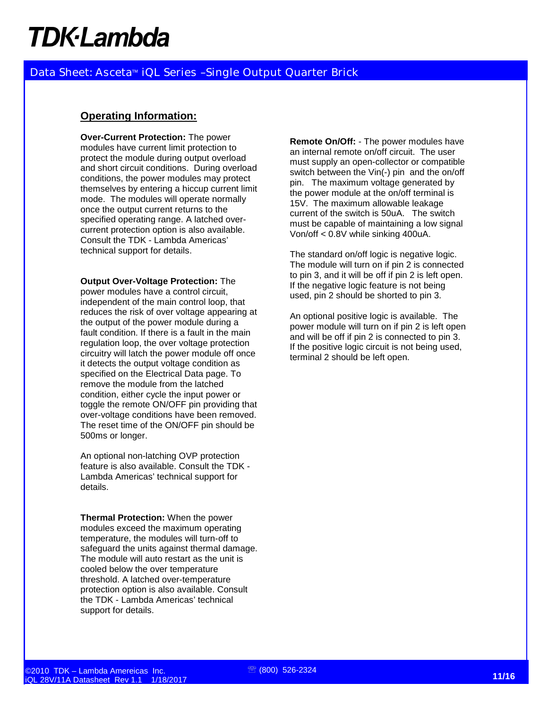#### Data Sheet: Asceta™ iQL Series –Single Output Quarter Brick

#### **Operating Information:**

**Over-Current Protection:** The power modules have current limit protection to protect the module during output overload and short circuit conditions. During overload conditions, the power modules may protect themselves by entering a hiccup current limit mode. The modules will operate normally once the output current returns to the specified operating range. A latched overcurrent protection option is also available. Consult the TDK - Lambda Americas' technical support for details.

**Output Over-Voltage Protection:** The power modules have a control circuit, independent of the main control loop, that reduces the risk of over voltage appearing at the output of the power module during a fault condition. If there is a fault in the main regulation loop, the over voltage protection circuitry will latch the power module off once it detects the output voltage condition as specified on the Electrical Data page. To remove the module from the latched condition, either cycle the input power or toggle the remote ON/OFF pin providing that over-voltage conditions have been removed. The reset time of the ON/OFF pin should be 500ms or longer.

An optional non-latching OVP protection feature is also available. Consult the TDK - Lambda Americas' technical support for details.

**Thermal Protection:** When the power modules exceed the maximum operating temperature, the modules will turn-off to safeguard the units against thermal damage. The module will auto restart as the unit is cooled below the over temperature threshold. A latched over-temperature protection option is also available. Consult the TDK - Lambda Americas' technical support for details.

**Remote On/Off:** - The power modules have an internal remote on/off circuit. The user must supply an open-collector or compatible switch between the Vin(-) pin and the on/off pin. The maximum voltage generated by the power module at the on/off terminal is 15V. The maximum allowable leakage current of the switch is 50uA. The switch must be capable of maintaining a low signal Von/off < 0.8V while sinking 400uA.

The standard on/off logic is negative logic. The module will turn on if pin 2 is connected to pin 3, and it will be off if pin 2 is left open. If the negative logic feature is not being used, pin 2 should be shorted to pin 3.

An optional positive logic is available. The power module will turn on if pin 2 is left open and will be off if pin 2 is connected to pin 3. If the positive logic circuit is not being used, terminal 2 should be left open.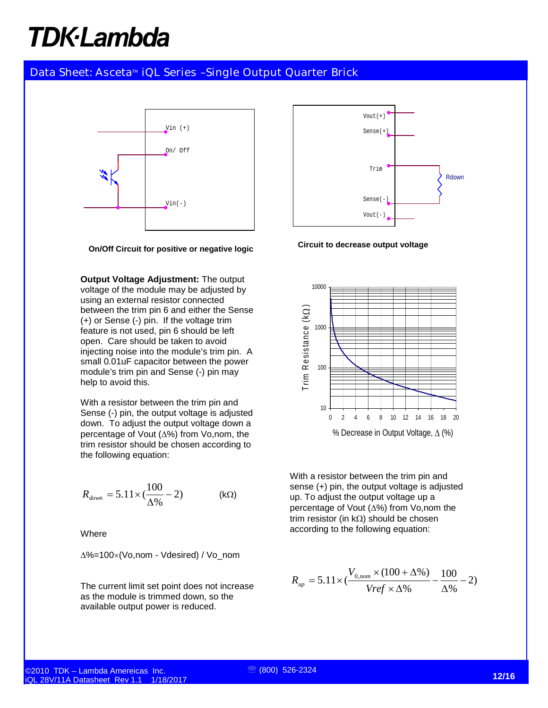#### Data Sheet: Asceta<sup>™</sup> iQL Series -Single Output Quarter Brick



**On/Off Circuit for positive or negative logic** 

**Output Voltage Adjustment:** The output voltage of the module may be adjusted by using an external resistor connected between the trim pin 6 and either the Sense (+) or Sense (-) pin. If the voltage trim feature is not used, pin 6 should be left open. Care should be taken to avoid injecting noise into the module's trim pin. A small 0.01uF capacitor between the power module's trim pin and Sense (-) pin may help to avoid this.

With a resistor between the trim pin and Sense (-) pin, the output voltage is adjusted down. To adjust the output voltage down a percentage of Vout (∆%) from Vo,nom, the trim resistor should be chosen according to the following equation:

$$
R_{down} = 5.11 \times (\frac{100}{\Delta\%} - 2)
$$
 (kΩ)

**Where** 

∆%=100×(Vo,nom - Vdesired) / Vo\_nom

The current limit set point does not increase as the module is trimmed down, so the available output power is reduced.



**Circuit to decrease output voltage** 



With a resistor between the trim pin and sense (+) pin, the output voltage is adjusted up. To adjust the output voltage up a percentage of Vout (∆%) from Vo,nom the trim resistor (in kΩ) should be chosen according to the following equation:

$$
R_{up} = 5.11 \times \left(\frac{V_{0,nom} \times (100 + \Delta\%)}{Vref \times \Delta\%} - \frac{100}{\Delta\%} - 2\right)
$$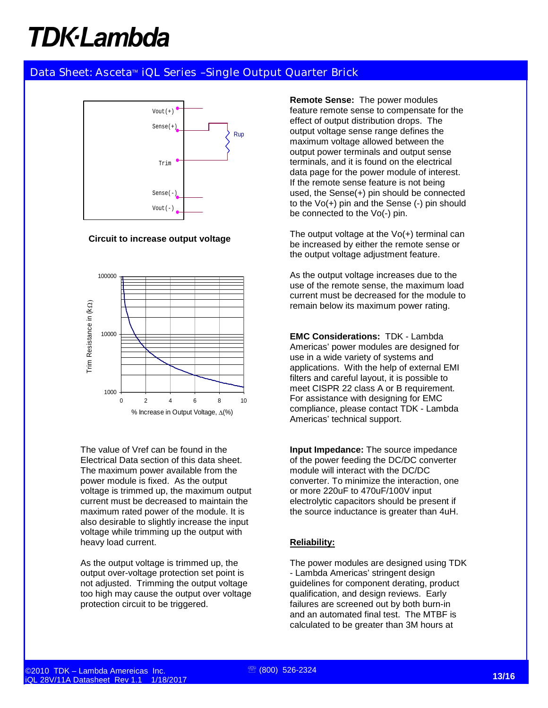### Data Sheet: Asceta™ iQL Series –Single Output Quarter Brick



**Circuit to increase output voltage** 



The value of Vref can be found in the Electrical Data section of this data sheet. The maximum power available from the power module is fixed. As the output voltage is trimmed up, the maximum output current must be decreased to maintain the maximum rated power of the module. It is also desirable to slightly increase the input voltage while trimming up the output with heavy load current.

As the output voltage is trimmed up, the output over-voltage protection set point is not adjusted. Trimming the output voltage too high may cause the output over voltage protection circuit to be triggered.

**Remote Sense:** The power modules feature remote sense to compensate for the effect of output distribution drops. The output voltage sense range defines the maximum voltage allowed between the output power terminals and output sense terminals, and it is found on the electrical data page for the power module of interest. If the remote sense feature is not being used, the Sense(+) pin should be connected to the Vo(+) pin and the Sense (-) pin should be connected to the Vo(-) pin.

The output voltage at the Vo(+) terminal can be increased by either the remote sense or the output voltage adjustment feature.

As the output voltage increases due to the use of the remote sense, the maximum load current must be decreased for the module to remain below its maximum power rating.

**EMC Considerations:** TDK - Lambda Americas' power modules are designed for use in a wide variety of systems and applications. With the help of external EMI filters and careful layout, it is possible to meet CISPR 22 class A or B requirement. For assistance with designing for EMC compliance, please contact TDK - Lambda Americas' technical support.

**Input Impedance:** The source impedance of the power feeding the DC/DC converter module will interact with the DC/DC converter. To minimize the interaction, one or more 220uF to 470uF/100V input electrolytic capacitors should be present if the source inductance is greater than 4uH.

#### **Reliability:**

The power modules are designed using TDK - Lambda Americas' stringent design guidelines for component derating, product qualification, and design reviews. Early failures are screened out by both burn-in and an automated final test. The MTBF is calculated to be greater than 3M hours at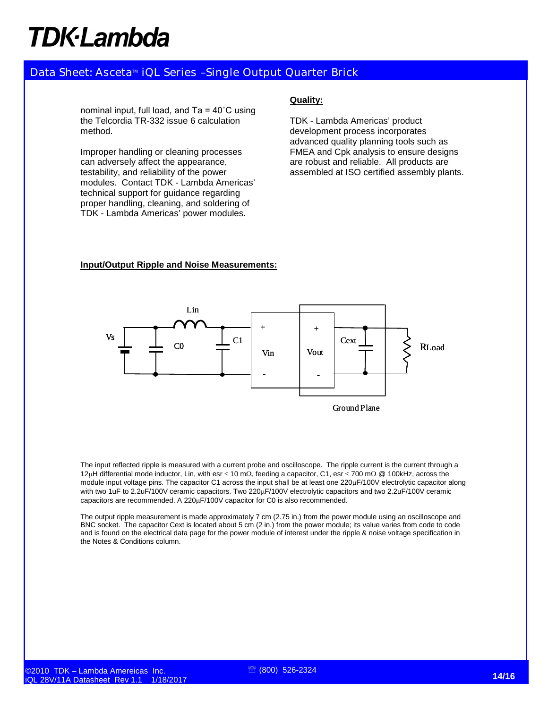#### Data Sheet: Asceta<sup>™</sup> iQL Series -Single Output Quarter Brick

nominal input, full load, and Ta = 40˚C using the Telcordia TR-332 issue 6 calculation method.

Improper handling or cleaning processes can adversely affect the appearance, testability, and reliability of the power modules. Contact TDK - Lambda Americas' technical support for guidance regarding proper handling, cleaning, and soldering of TDK - Lambda Americas' power modules.

#### **Quality:**

TDK - Lambda Americas' product development process incorporates advanced quality planning tools such as FMEA and Cpk analysis to ensure designs are robust and reliable. All products are assembled at ISO certified assembly plants.

#### **Input/Output Ripple and Noise Measurements:**



The input reflected ripple is measured with a current probe and oscilloscope. The ripple current is the current through a 12µH differential mode inductor, Lin, with esr  $\leq$  10 mΩ, feeding a capacitor, C1, esr  $\leq$  700 mΩ @ 100kHz, across the module input voltage pins. The capacitor C1 across the input shall be at least one 220µF/100V electrolytic capacitor along with two 1uF to 2.2uF/100V ceramic capacitors. Two 220µF/100V electrolytic capacitors and two 2.2uF/100V ceramic capacitors are recommended. A 220µF/100V capacitor for C0 is also recommended.

The output ripple measurement is made approximately 7 cm (2.75 in.) from the power module using an oscilloscope and BNC socket. The capacitor Cext is located about 5 cm (2 in.) from the power module; its value varies from code to code and is found on the electrical data page for the power module of interest under the ripple & noise voltage specification in the Notes & Conditions column.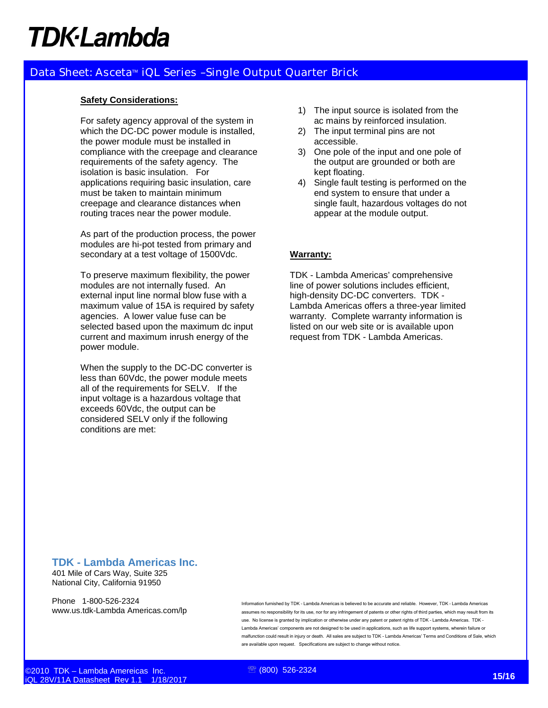#### Data Sheet: Asceta<sup>™</sup> iQL Series -Single Output Quarter Brick

#### **Safety Considerations:**

For safety agency approval of the system in which the DC-DC power module is installed, the power module must be installed in compliance with the creepage and clearance requirements of the safety agency. The isolation is basic insulation. For applications requiring basic insulation, care must be taken to maintain minimum creepage and clearance distances when routing traces near the power module.

As part of the production process, the power modules are hi-pot tested from primary and secondary at a test voltage of 1500Vdc.

To preserve maximum flexibility, the power modules are not internally fused. An external input line normal blow fuse with a maximum value of 15A is required by safety agencies. A lower value fuse can be selected based upon the maximum dc input current and maximum inrush energy of the power module.

When the supply to the DC-DC converter is less than 60Vdc, the power module meets all of the requirements for SELV. If the input voltage is a hazardous voltage that exceeds 60Vdc, the output can be considered SELV only if the following conditions are met:

- 1) The input source is isolated from the ac mains by reinforced insulation.
- 2) The input terminal pins are not accessible.
- 3) One pole of the input and one pole of the output are grounded or both are kept floating.
- 4) Single fault testing is performed on the end system to ensure that under a single fault, hazardous voltages do not appear at the module output.

#### **Warranty:**

TDK - Lambda Americas' comprehensive line of power solutions includes efficient, high-density DC-DC converters. TDK - Lambda Americas offers a three-year limited warranty. Complete warranty information is listed on our web site or is available upon request from TDK - Lambda Americas.

#### **TDK - Lambda Americas Inc.**

401 Mile of Cars Way, Suite 325 National City, California 91950

Phone 1-800-526-2324 www.us.tdk-Lambda Americas.com/lp

Information furnished by TDK – Lambda Americas is believed to be accurate and reliable. However, TDK – Lambda Americas assumes no responsibility for its use, nor for any infringement of patents or other rights of third parties, which may result from its use. No license is granted by implication or otherwise under any patent or patent rights of TDK – Lambda Americas. TDK – Lambda Americas' components are not designed to be used in applications, such as life support systems, wherein failure or malfunction could result in injury or death. All sales are subject to TDK - Lambda Americas' Terms and Conditions of Sale, which are available upon request. Specifications are subject to change without notice.